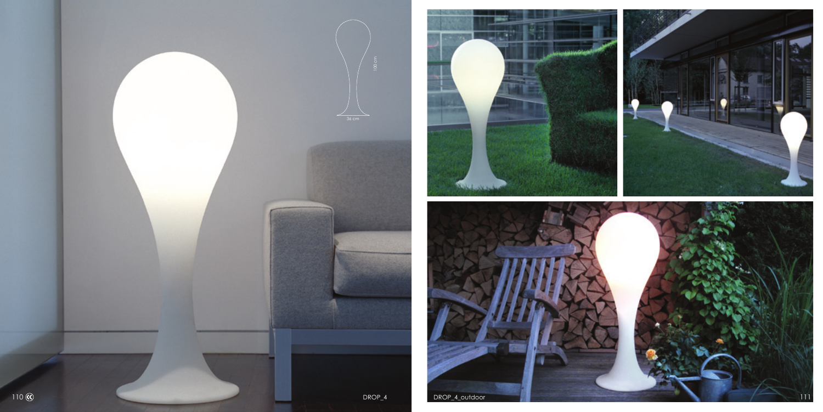



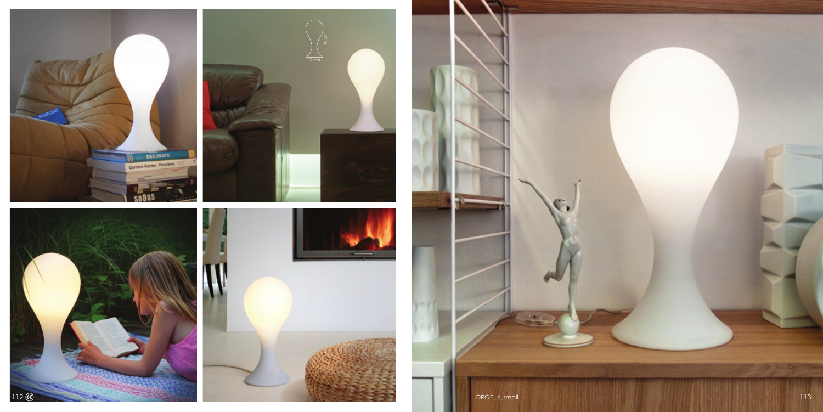